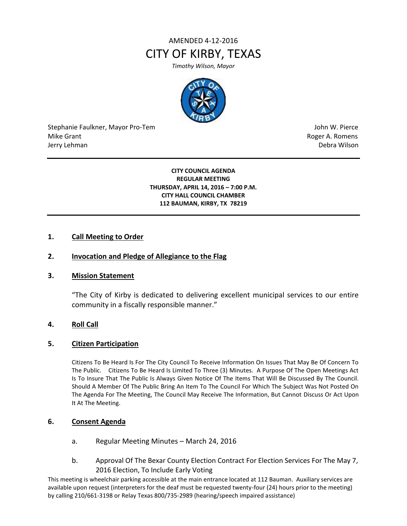# AMENDED 4-12-2016 CITY OF KIRBY, TEXAS

*Timothy Wilson, Mayor*



Stephanie Faulkner, Mayor Pro-Tem John W. Pierce Mike Grant **Mike Grant** Roger A. Romens **Contract A. Romens Contract A. Romens Contract A. Romens** Jerry Lehman Debra Wilson (2008) and the state of the state of the state of the state of the state of the state of the state of the state of the state of the state of the state of the state of the state of the state of the

#### **CITY COUNCIL AGENDA REGULAR MEETING THURSDAY, APRIL 14, 2016 – 7:00 P.M. CITY HALL COUNCIL CHAMBER 112 BAUMAN, KIRBY, TX 78219**

## **1. Call Meeting to Order**

## **2. Invocation and Pledge of Allegiance to the Flag**

## **3. Mission Statement**

"The City of Kirby is dedicated to delivering excellent municipal services to our entire community in a fiscally responsible manner."

## **4. Roll Call**

## **5. Citizen Participation**

Citizens To Be Heard Is For The City Council To Receive Information On Issues That May Be Of Concern To The Public. Citizens To Be Heard Is Limited To Three (3) Minutes. A Purpose Of The Open Meetings Act Is To Insure That The Public Is Always Given Notice Of The Items That Will Be Discussed By The Council. Should A Member Of The Public Bring An Item To The Council For Which The Subject Was Not Posted On The Agenda For The Meeting, The Council May Receive The Information, But Cannot Discuss Or Act Upon It At The Meeting.

## **6. Consent Agenda**

- a. Regular Meeting Minutes March 24, 2016
- b. Approval Of The Bexar County Election Contract For Election Services For The May 7, 2016 Election, To Include Early Voting

This meeting is wheelchair parking accessible at the main entrance located at 112 Bauman. Auxiliary services are available upon request (interpreters for the deaf must be requested twenty-four (24) hours prior to the meeting) by calling 210/661-3198 or Relay Texas 800/735-2989 (hearing/speech impaired assistance)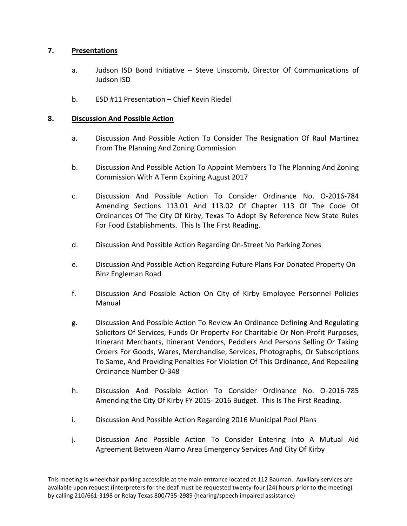## **7. Presentations**

- a. Judson ISD Bond Initiative Steve Linscomb, Director Of Communications of Judson ISD
- b. ESD #11 Presentation Chief Kevin Riedel

## **8. Discussion And Possible Action**

- a. Discussion And Possible Action To Consider The Resignation Of Raul Martinez From The Planning And Zoning Commission
- b. Discussion And Possible Action To Appoint Members To The Planning And Zoning Commission With A Term Expiring August 2017
- c. Discussion And Possible Action To Consider Ordinance No. O-2016-784 Amending Sections 113.01 And 113.02 Of Chapter 113 Of The Code Of Ordinances Of The City Of Kirby, Texas To Adopt By Reference New State Rules For Food Establishments. This Is The First Reading.
- d. Discussion And Possible Action Regarding On-Street No Parking Zones
- e. Discussion And Possible Action Regarding Future Plans For Donated Property On Binz Engleman Road
- f. Discussion And Possible Action On City of Kirby Employee Personnel Policies Manual
- g. Discussion And Possible Action To Review An Ordinance Defining And Regulating Solicitors Of Services, Funds Or Property For Charitable Or Non-Profit Purposes, Itinerant Merchants, Itinerant Vendors, Peddlers And Persons Selling Or Taking Orders For Goods, Wares, Merchandise, Services, Photographs, Or Subscriptions To Same, And Providing Penalties For Violation Of This Ordinance, And Repealing Ordinance Number O-348
- h. Discussion And Possible Action To Consider Ordinance No. O-2016-785 Amending the City Of Kirby FY 2015- 2016 Budget. This Is The First Reading.
- i. Discussion And Possible Action Regarding 2016 Municipal Pool Plans
- j. Discussion And Possible Action To Consider Entering Into A Mutual Aid Agreement Between Alamo Area Emergency Services And City Of Kirby

This meeting is wheelchair parking accessible at the main entrance located at 112 Bauman. Auxiliary services are available upon request (interpreters for the deaf must be requested twenty-four (24) hours prior to the meeting) by calling 210/661-3198 or Relay Texas 800/735-2989 (hearing/speech impaired assistance)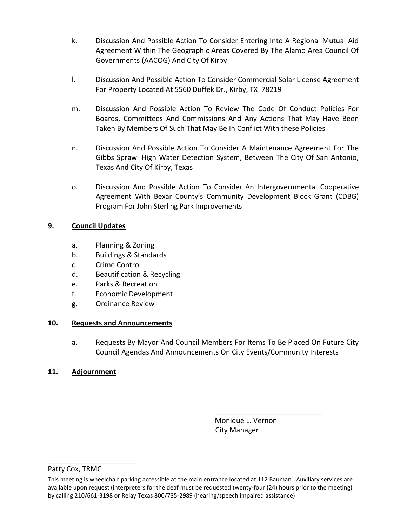- k. Discussion And Possible Action To Consider Entering Into A Regional Mutual Aid Agreement Within The Geographic Areas Covered By The Alamo Area Council Of Governments (AACOG) And City Of Kirby
- l. Discussion And Possible Action To Consider Commercial Solar License Agreement For Property Located At 5560 Duffek Dr., Kirby, TX 78219
- m. Discussion And Possible Action To Review The Code Of Conduct Policies For Boards, Committees And Commissions And Any Actions That May Have Been Taken By Members Of Such That May Be In Conflict With these Policies
- n. Discussion And Possible Action To Consider A Maintenance Agreement For The Gibbs Sprawl High Water Detection System, Between The City Of San Antonio, Texas And City Of Kirby, Texas
- o. Discussion And Possible Action To Consider An Intergovernmental Cooperative Agreement With Bexar County's Community Development Block Grant (CDBG) Program For John Sterling Park Improvements

## **9. Council Updates**

- a. Planning & Zoning
- b. Buildings & Standards
- c. Crime Control
- d. Beautification & Recycling
- e. Parks & Recreation
- f. Economic Development
- g. Ordinance Review

## **10. Requests and Announcements**

a. Requests By Mayor And Council Members For Items To Be Placed On Future City Council Agendas And Announcements On City Events/Community Interests

## **11. Adjournment**

 Monique L. Vernon City Manager

\_\_\_\_\_\_\_\_\_\_\_\_\_\_\_\_\_\_\_\_\_\_\_\_\_\_\_

## Patty Cox, TRMC

\_\_\_\_\_\_\_\_\_\_\_\_\_\_\_\_\_\_\_\_\_\_

This meeting is wheelchair parking accessible at the main entrance located at 112 Bauman. Auxiliary services are available upon request (interpreters for the deaf must be requested twenty-four (24) hours prior to the meeting) by calling 210/661-3198 or Relay Texas 800/735-2989 (hearing/speech impaired assistance)